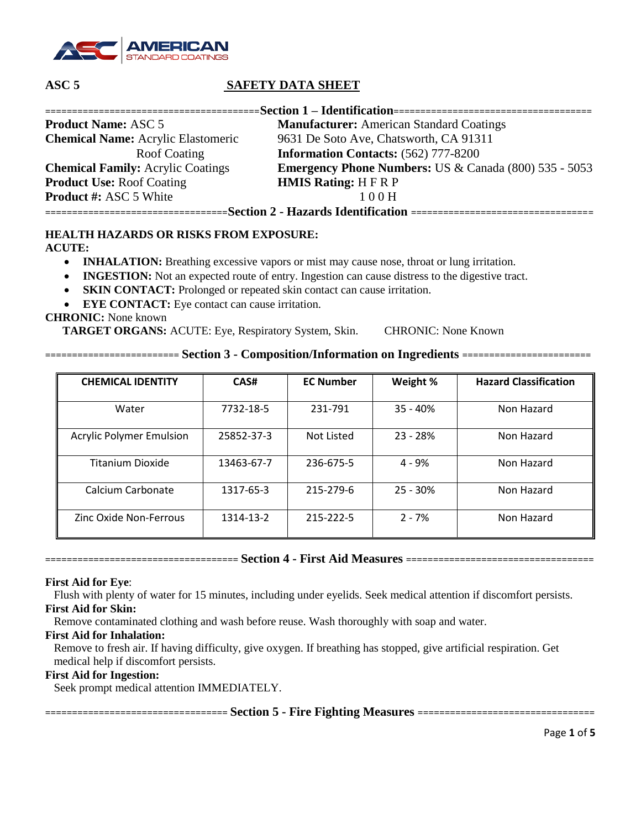

| =Section 1 – Identification================================ |                                                                  |  |  |  |  |  |
|-------------------------------------------------------------|------------------------------------------------------------------|--|--|--|--|--|
| <b>Product Name: ASC 5</b>                                  | <b>Manufacturer:</b> American Standard Coatings                  |  |  |  |  |  |
| <b>Chemical Name:</b> Acrylic Elastomeric                   | 9631 De Soto Ave, Chatsworth, CA 91311                           |  |  |  |  |  |
| Roof Coating                                                | <b>Information Contacts:</b> (562) 777-8200                      |  |  |  |  |  |
| <b>Chemical Family:</b> Acrylic Coatings                    | <b>Emergency Phone Numbers: US &amp; Canada (800) 535 - 5053</b> |  |  |  |  |  |
| <b>Product Use: Roof Coating</b>                            | <b>HMIS Rating: H F R P</b>                                      |  |  |  |  |  |
| <b>Product #: ASC 5 White</b>                               | 100H                                                             |  |  |  |  |  |
|                                                             |                                                                  |  |  |  |  |  |

# **HEALTH HAZARDS OR RISKS FROM EXPOSURE:**

**ACUTE:**

- **INHALATION:** Breathing excessive vapors or mist may cause nose, throat or lung irritation.
- **INGESTION:** Not an expected route of entry. Ingestion can cause distress to the digestive tract.
- **SKIN CONTACT:** Prolonged or repeated skin contact can cause irritation.
- **EYE CONTACT:** Eye contact can cause irritation.

### **CHRONIC:** None known

TARGET ORGANS: ACUTE: Eye, Respiratory System, Skin. CHRONIC: None Known

| <b>CHEMICAL IDENTITY</b>        | CAS#       | <b>EC Number</b> | Weight %   | <b>Hazard Classification</b> |
|---------------------------------|------------|------------------|------------|------------------------------|
|                                 |            |                  |            |                              |
| Water                           | 7732-18-5  | 231-791          | $35 - 40%$ | Non Hazard                   |
| <b>Acrylic Polymer Emulsion</b> | 25852-37-3 | Not Listed       | $23 - 28%$ | Non Hazard                   |
| <b>Titanium Dioxide</b>         | 13463-67-7 | 236-675-5        | $4 - 9%$   | Non Hazard                   |
| Calcium Carbonate               | 1317-65-3  | 215-279-6        | $25 - 30%$ | Non Hazard                   |
| Zinc Oxide Non-Ferrous          | 1314-13-2  | 215-222-5        | $2 - 7%$   | Non Hazard                   |

**========================= Section 3 - Composition/Information on Ingredients ========================**

**==================================== Section 4 - First Aid Measures ===================================**

#### **First Aid for Eye**:

 Flush with plenty of water for 15 minutes, including under eyelids. Seek medical attention if discomfort persists. **First Aid for Skin:**

Remove contaminated clothing and wash before reuse. Wash thoroughly with soap and water.

#### **First Aid for Inhalation:**

 Remove to fresh air. If having difficulty, give oxygen. If breathing has stopped, give artificial respiration. Get medical help if discomfort persists.

#### **First Aid for Ingestion:**

Seek prompt medical attention IMMEDIATELY.

**================================== Section 5 - Fire Fighting Measures =================================**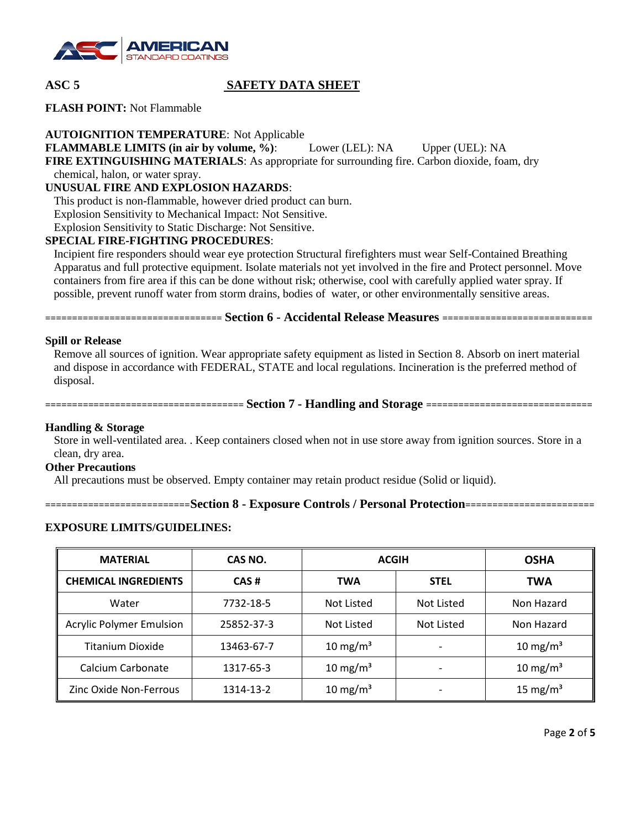

**FLASH POINT:** Not Flammable

**AUTOIGNITION TEMPERATURE**: Not Applicable

**FLAMMABLE LIMITS (in air by volume, %)**: Lower (LEL): NA Upper (UEL): NA

**FIRE EXTINGUISHING MATERIALS**: As appropriate for surrounding fire. Carbon dioxide, foam, dry

chemical, halon, or water spray.

# **UNUSUAL FIRE AND EXPLOSION HAZARDS**:

This product is non-flammable, however dried product can burn.

Explosion Sensitivity to Mechanical Impact: Not Sensitive.

Explosion Sensitivity to Static Discharge: Not Sensitive.

# **SPECIAL FIRE-FIGHTING PROCEDURES**:

 Incipient fire responders should wear eye protection Structural firefighters must wear Self-Contained Breathing Apparatus and full protective equipment. Isolate materials not yet involved in the fire and Protect personnel. Move containers from fire area if this can be done without risk; otherwise, cool with carefully applied water spray. If possible, prevent runoff water from storm drains, bodies of water, or other environmentally sensitive areas.

**================================= Section 6 - Accidental Release Measures ============================**

### **Spill or Release**

 Remove all sources of ignition. Wear appropriate safety equipment as listed in Section 8. Absorb on inert material and dispose in accordance with FEDERAL, STATE and local regulations. Incineration is the preferred method of disposal.

**===================================== Section 7 - Handling and Storage ===============================**

#### **Handling & Storage**

 Store in well-ventilated area. . Keep containers closed when not in use store away from ignition sources. Store in a clean, dry area.

#### **Other Precautions**

All precautions must be observed. Empty container may retain product residue (Solid or liquid).

```
===========================Section 8 - Exposure Controls / Personal Protection========================
```
# **EXPOSURE LIMITS/GUIDELINES:**

| <b>MATERIAL</b>                 | CAS NO.    | <b>ACGIH</b>         | <b>OSHA</b>              |                      |
|---------------------------------|------------|----------------------|--------------------------|----------------------|
| <b>CHEMICAL INGREDIENTS</b>     | CAS#       | <b>TWA</b>           | <b>STEL</b>              | TWA                  |
| Water                           | 7732-18-5  | Not Listed           | Not Listed               | Non Hazard           |
| <b>Acrylic Polymer Emulsion</b> | 25852-37-3 | Not Listed           | Not Listed               | Non Hazard           |
| <b>Titanium Dioxide</b>         | 13463-67-7 | 10 mg/m <sup>3</sup> | $\overline{\phantom{0}}$ | 10 mg/m <sup>3</sup> |
| Calcium Carbonate               | 1317-65-3  | 10 mg/m <sup>3</sup> | $\overline{\phantom{0}}$ | 10 mg/m <sup>3</sup> |
| Zinc Oxide Non-Ferrous          | 1314-13-2  | 10 mg/m <sup>3</sup> |                          | 15 mg/m <sup>3</sup> |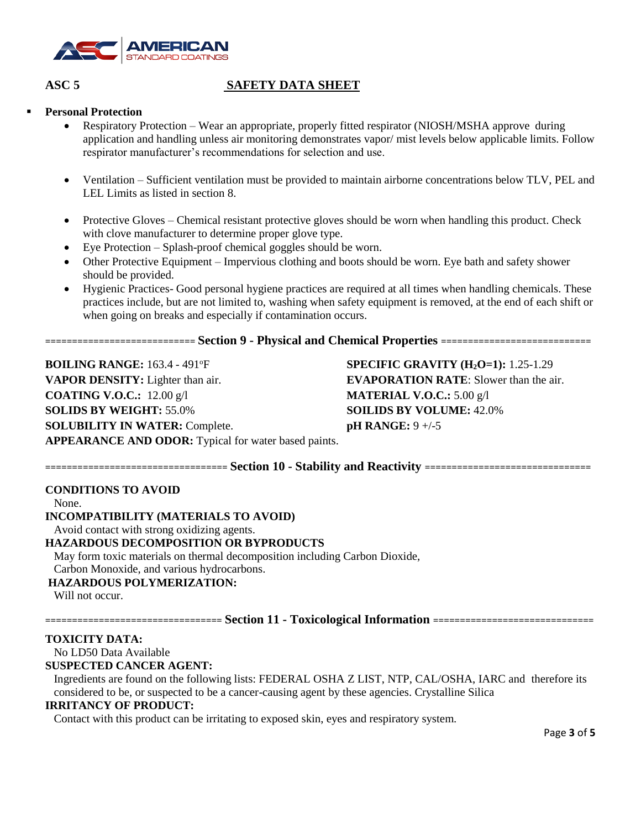

# **Personal Protection**

- Respiratory Protection Wear an appropriate, properly fitted respirator (NIOSH/MSHA approve during application and handling unless air monitoring demonstrates vapor/ mist levels below applicable limits. Follow respirator manufacturer's recommendations for selection and use.
- Ventilation Sufficient ventilation must be provided to maintain airborne concentrations below TLV, PEL and LEL Limits as listed in section 8.
- Protective Gloves Chemical resistant protective gloves should be worn when handling this product. Check with clove manufacturer to determine proper glove type.
- Eye Protection Splash-proof chemical goggles should be worn.
- Other Protective Equipment Impervious clothing and boots should be worn. Eye bath and safety shower should be provided.
- Hygienic Practices- Good personal hygiene practices are required at all times when handling chemicals. These practices include, but are not limited to, washing when safety equipment is removed, at the end of each shift or when going on breaks and especially if contamination occurs.

**============================ Section 9 - Physical and Chemical Properties ============================**

**BOILING RANGE:** 163.4 - 491°F **SPECIFIC GRAVITY (H<sub>2</sub>O=1):** 1.25-1.29 **VAPOR DENSITY:** Lighter than air. **EVAPORATION RATE**: Slower than the air. **COATING V.O.C.:** 12.00 g/l **MATERIAL V.O.C.:** 5.00 g/l **SOLIDS BY WEIGHT:** 55.0% **SOILIDS BY VOLUME:** 42.0% **SOLUBILITY IN WATER:** Complete. **pH RANGE:** 9 +/-5 **APPEARANCE AND ODOR:** Typical for water based paints.

**================================== Section 10 - Stability and Reactivity ===============================**

# **CONDITIONS TO AVOID**

None.

**INCOMPATIBILITY (MATERIALS TO AVOID)**

Avoid contact with strong oxidizing agents.

# **HAZARDOUS DECOMPOSITION OR BYPRODUCTS**

May form toxic materials on thermal decomposition including Carbon Dioxide,

Carbon Monoxide, and various hydrocarbons.

# **HAZARDOUS POLYMERIZATION:**

Will not occur.

**================================= Section 11 - Toxicological Information ==============================**

# **TOXICITY DATA:**

No LD50 Data Available

# **SUSPECTED CANCER AGENT:**

Ingredients are found on the following lists: FEDERAL OSHA Z LIST, NTP, CAL/OSHA, IARC and therefore its considered to be, or suspected to be a cancer-causing agent by these agencies. Crystalline Silica

#### **IRRITANCY OF PRODUCT:**

Contact with this product can be irritating to exposed skin, eyes and respiratory system.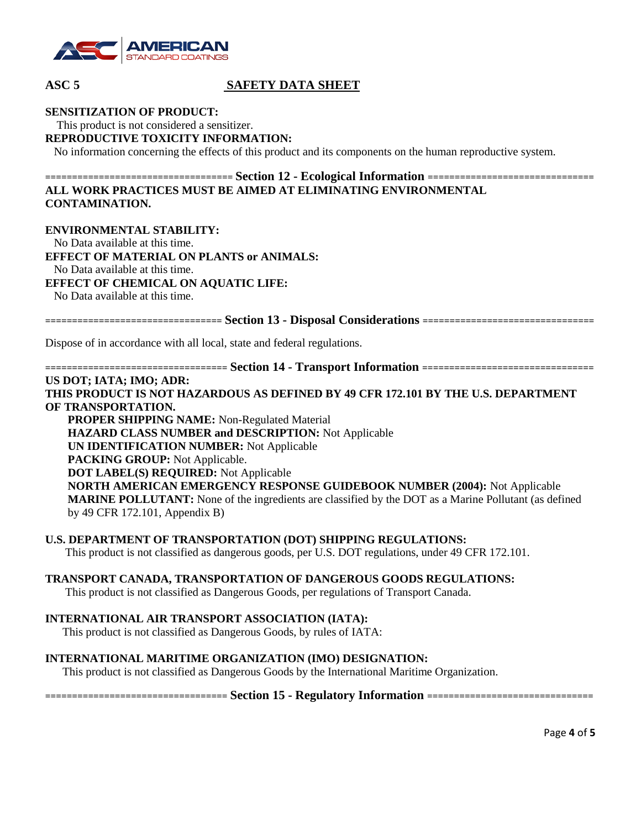

#### **SENSITIZATION OF PRODUCT:**

This product is not considered a sensitizer.

# **REPRODUCTIVE TOXICITY INFORMATION:**

No information concerning the effects of this product and its components on the human reproductive system.

# **=================================== Section 12 - Ecological Information =============================== ALL WORK PRACTICES MUST BE AIMED AT ELIMINATING ENVIRONMENTAL CONTAMINATION.**

#### **ENVIRONMENTAL STABILITY:**

No Data available at this time.

**EFFECT OF MATERIAL ON PLANTS or ANIMALS:** 

No Data available at this time.

## **EFFECT OF CHEMICAL ON AQUATIC LIFE:**

No Data available at this time.

**================================= Section 13 - Disposal Considerations ================================**

Dispose of in accordance with all local, state and federal regulations.

**================================== Section 14 - Transport Information ================================**

#### **US DOT; IATA; IMO; ADR:**

**THIS PRODUCT IS NOT HAZARDOUS AS DEFINED BY 49 CFR 172.101 BY THE U.S. DEPARTMENT OF TRANSPORTATION.**

**PROPER SHIPPING NAME:** Non-Regulated Material **HAZARD CLASS NUMBER and DESCRIPTION:** Not Applicable **UN IDENTIFICATION NUMBER:** Not Applicable **PACKING GROUP:** Not Applicable. **DOT LABEL(S) REQUIRED:** Not Applicable **NORTH AMERICAN EMERGENCY RESPONSE GUIDEBOOK NUMBER (2004):** Not Applicable **MARINE POLLUTANT:** None of the ingredients are classified by the DOT as a Marine Pollutant (as defined by 49 CFR 172.101, Appendix B)

#### **U.S. DEPARTMENT OF TRANSPORTATION (DOT) SHIPPING REGULATIONS:**

This product is not classified as dangerous goods, per U.S. DOT regulations, under 49 CFR 172.101.

#### **TRANSPORT CANADA, TRANSPORTATION OF DANGEROUS GOODS REGULATIONS:**

This product is not classified as Dangerous Goods, per regulations of Transport Canada.

#### **INTERNATIONAL AIR TRANSPORT ASSOCIATION (IATA):**

This product is not classified as Dangerous Goods, by rules of IATA:

# **INTERNATIONAL MARITIME ORGANIZATION (IMO) DESIGNATION:**

This product is not classified as Dangerous Goods by the International Maritime Organization.

**================================== Section 15 - Regulatory Information ===============================**